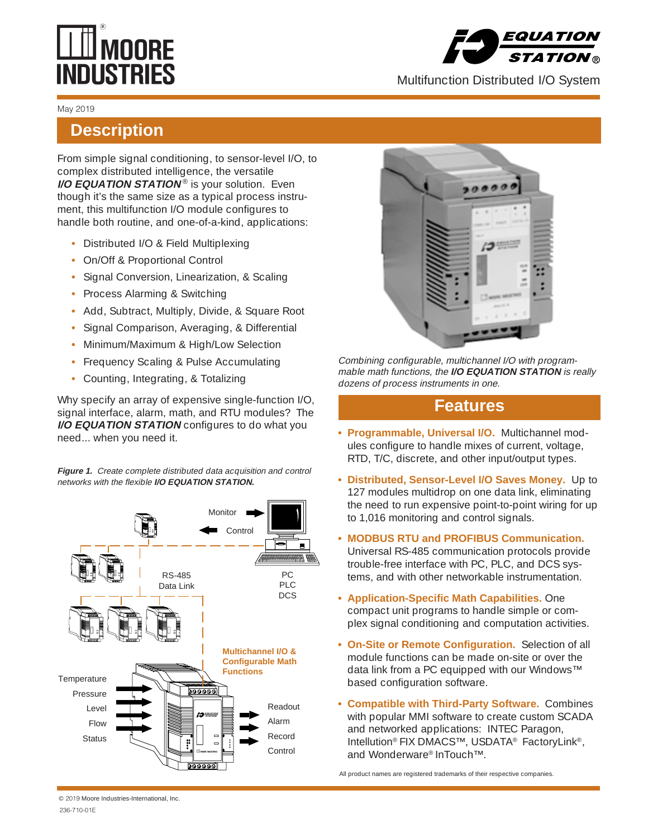# **WIMOORE**<br>NDUSTRIES



Multifunction Distributed I/O System

#### May 2019

## **Description**

From simple signal conditioning, to sensor-level I/O, to complex distributed intelligence, the versatile **I/O EQUATION STATION<sup>®</sup> is your solution. Even** though it's the same size as a typical process instrument, this multifunction I/O module configures to handle both routine, and one-of-a-kind, applications:

- **•** Distributed I/O & Field Multiplexing
- **•** On/Off & Proportional Control
- **•** Signal Conversion, Linearization, & Scaling
- **•** Process Alarming & Switching
- **•** Add, Subtract, Multiply, Divide, & Square Root
- **•** Signal Comparison, Averaging, & Differential
- **•** Minimum/Maximum & High/Low Selection
- **•** Frequency Scaling & Pulse Accumulating
- **•** Counting, Integrating, & Totalizing

Why specify an array of expensive single-function I/O, signal interface, alarm, math, and RTU modules? The **I/O EQUATION STATION** configures to do what you need... when you need it.

Figure 1. Create complete distributed data acquisition and control networks with the flexible **I/O EQUATION STATION.**





Combining configurable, multichannel I/O with programmable math functions, the **I/O EQUATION STATION** is really dozens of process instruments in one.

## **Features**

- **Programmable, Universal I/O.** Multichannel modules configure to handle mixes of current, voltage, RTD, T/C, discrete, and other input/output types.
- **Distributed, Sensor-Level I/O Saves Money.** Up to 127 modules multidrop on one data link, eliminating the need to run expensive point-to-point wiring for up to 1,016 monitoring and control signals.
- **MODBUS RTU and PROFIBUS Communication.** Universal RS-485 communication protocols provide trouble-free interface with PC, PLC, and DCS systems, and with other networkable instrumentation.
- **Application-Specific Math Capabilities.** One compact unit programs to handle simple or complex signal conditioning and computation activities.
- **On-Site or Remote Configuration.** Selection of all module functions can be made on-site or over the data link from a PC equipped with our Windows™ based configuration software.
- **Compatible with Third-Party Software.** Combines with popular MMI software to create custom SCADA and networked applications: INTEC Paragon, Intellution® FIX DMACS™, USDATA® FactoryLink®, and Wonderware® InTouch™.

All product names are registered trademarks of their respective companies.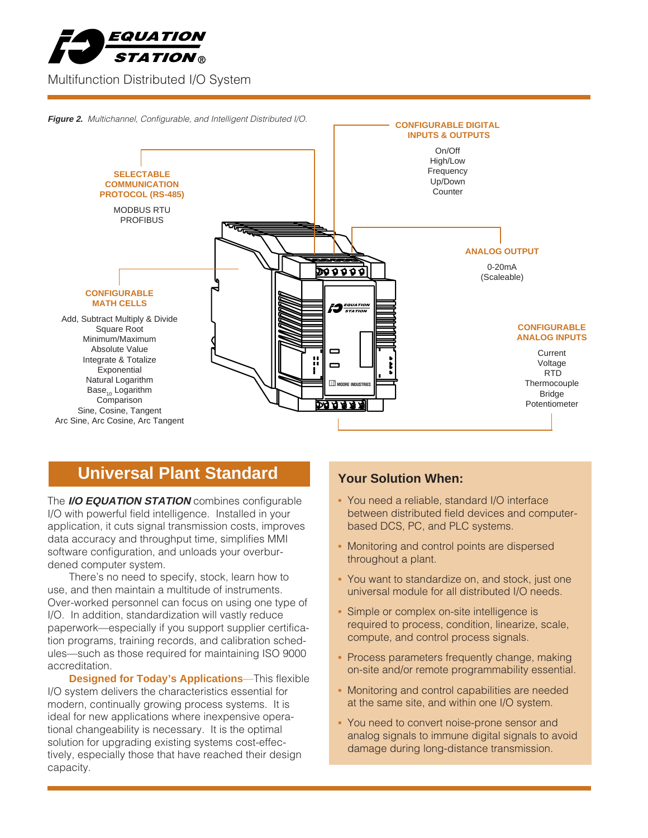





## **Whiversal Plant Standard Transform When:**

The **I/O EQUATION STATION** combines configurable I/O with powerful field intelligence. Installed in your application, it cuts signal transmission costs, improves data accuracy and throughput time, simplifies MMI software configuration, and unloads your overburdened computer system.

There's no need to specify, stock, learn how to use, and then maintain a multitude of instruments. Over-worked personnel can focus on using one type of I/O. In addition, standardization will vastly reduce paperwork—especially if you support supplier certification programs, training records, and calibration schedules—such as those required for maintaining ISO 9000 accreditation.

**Designed for Today's Applications**—This flexible I/O system delivers the characteristics essential for modern, continually growing process systems. It is ideal for new applications where inexpensive operational changeability is necessary. It is the optimal solution for upgrading existing systems cost-effectively, especially those that have reached their design capacity.

- **•** You need a reliable, standard I/O interface between distributed field devices and computerbased DCS, PC, and PLC systems.
- **•** Monitoring and control points are dispersed throughout a plant.
- **•** You want to standardize on, and stock, just one universal module for all distributed I/O needs.
- **•** Simple or complex on-site intelligence is required to process, condition, linearize, scale, compute, and control process signals.
- **•** Process parameters frequently change, making on-site and/or remote programmability essential.
- Monitoring and control capabilities are needed at the same site, and within one I/O system.
- **•** You need to convert noise-prone sensor and analog signals to immune digital signals to avoid damage during long-distance transmission.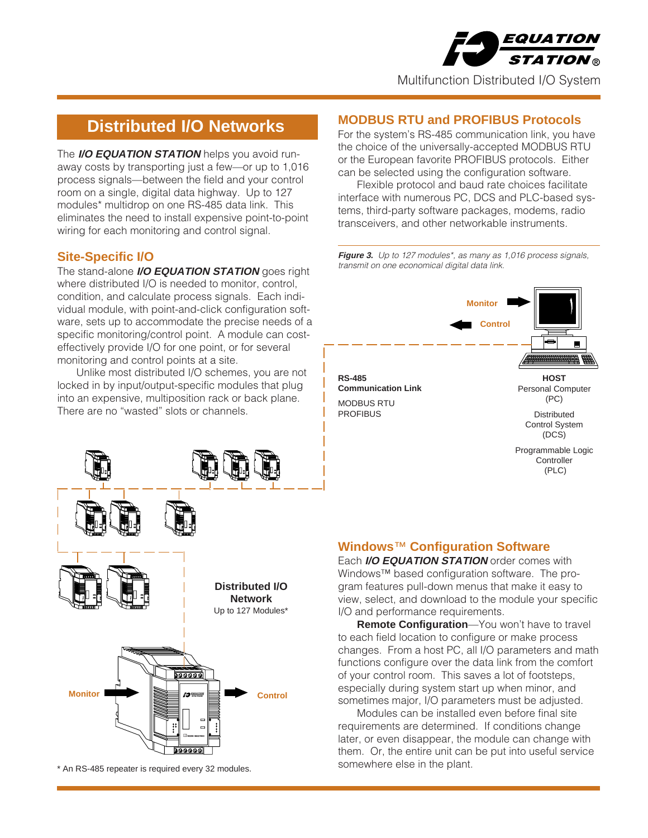

## **Distributed I/O Networks**

The **I/O EQUATION STATION** helps you avoid runaway costs by transporting just a few—or up to 1,016 process signals—between the field and your control room on a single, digital data highway. Up to 127 modules\* multidrop on one RS-485 data link. This eliminates the need to install expensive point-to-point wiring for each monitoring and control signal.

## **Site-Specific I/O**

The stand-alone **I/O EQUATION STATION** goes right where distributed I/O is needed to monitor, control, condition, and calculate process signals. Each individual module, with point-and-click configuration software, sets up to accommodate the precise needs of a specific monitoring/control point. A module can costeffectively provide I/O for one point, or for several monitoring and control points at a site.

Unlike most distributed I/O schemes, you are not locked in by input/output-specific modules that plug into an expensive, multiposition rack or back plane. There are no "wasted" slots or channels.



somewhere else in the plant. \* An RS-485 repeater is required every 32 modules.

#### **MODBUS RTU and PROFIBUS Protocols**

For the system's RS-485 communication link, you have the choice of the universally-accepted MODBUS RTU or the European favorite PROFIBUS protocols. Either can be selected using the configuration software.

Flexible protocol and baud rate choices facilitate interface with numerous PC, DCS and PLC-based systems, third-party software packages, modems, radio transceivers, and other networkable instruments.

Figure 3. Up to 127 modules\*, as many as 1,016 process signals, transmit on one economical digital data link.



#### **Windows**™ **Configuration Software**

Each **I/O EQUATION STATION** order comes with Windows™ based configuration software. The program features pull-down menus that make it easy to view, select, and download to the module your specific I/O and performance requirements.

**Remote Configuration**—You won't have to travel to each field location to configure or make process changes. From a host PC, all I/O parameters and math functions configure over the data link from the comfort of your control room. This saves a lot of footsteps, especially during system start up when minor, and sometimes major, I/O parameters must be adjusted.

Modules can be installed even before final site requirements are determined. If conditions change later, or even disappear, the module can change with them. Or, the entire unit can be put into useful service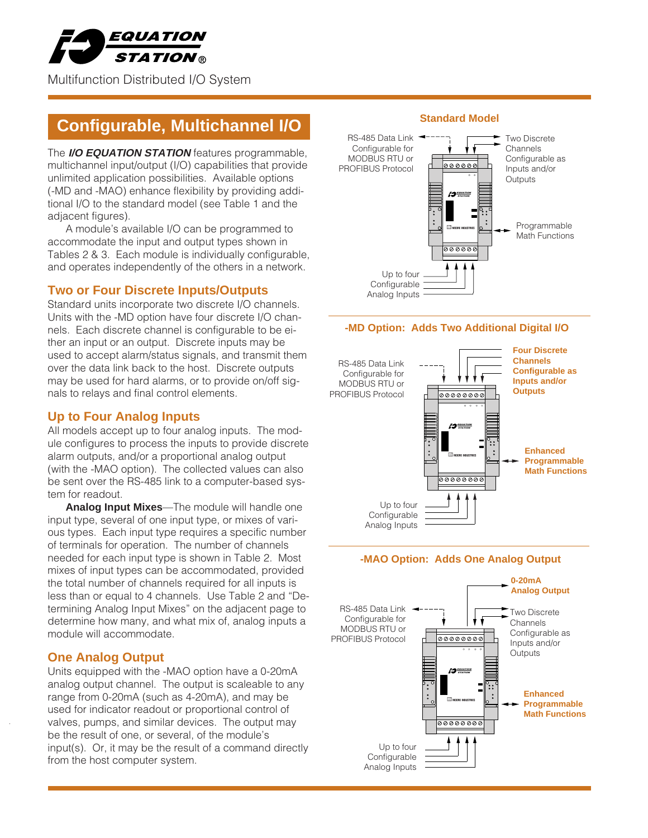

# **Configurable, Multichannel I/O Standard Model**

The **I/O EQUATION STATION** features programmable, multichannel input/output (I/O) capabilities that provide unlimited application possibilities. Available options (-MD and -MAO) enhance flexibility by providing additional I/O to the standard model (see Table 1 and the adjacent figures).

A module's available I/O can be programmed to accommodate the input and output types shown in Tables 2 & 3. Each module is individually configurable, and operates independently of the others in a network.

#### **Two or Four Discrete Inputs/Outputs**

Standard units incorporate two discrete I/O channels. Units with the -MD option have four discrete I/O channels. Each discrete channel is configurable to be either an input or an output. Discrete inputs may be used to accept alarm/status signals, and transmit them over the data link back to the host. Discrete outputs may be used for hard alarms, or to provide on/off signals to relays and final control elements.

### **Up to Four Analog Inputs**

All models accept up to four analog inputs. The module configures to process the inputs to provide discrete alarm outputs, and/or a proportional analog output (with the -MAO option). The collected values can also be sent over the RS-485 link to a computer-based system for readout.

**Analog Input Mixes**—The module will handle one input type, several of one input type, or mixes of various types. Each input type requires a specific number of terminals for operation. The number of channels needed for each input type is shown in Table 2. Most mixes of input types can be accommodated, provided the total number of channels required for all inputs is less than or equal to 4 channels. Use Table 2 and "Determining Analog Input Mixes" on the adjacent page to determine how many, and what mix of, analog inputs a module will accommodate.

#### **One Analog Output**

Units equipped with the -MAO option have a 0-20mA analog output channel. The output is scaleable to any range from 0-20mA (such as 4-20mA), and may be used for indicator readout or proportional control of valves, pumps, and similar devices. The output may be the result of one, or several, of the module's input(s). Or, it may be the result of a command directly from the host computer system.



#### **-MD Option: Adds Two Additional Digital I/O**







Analog Inputs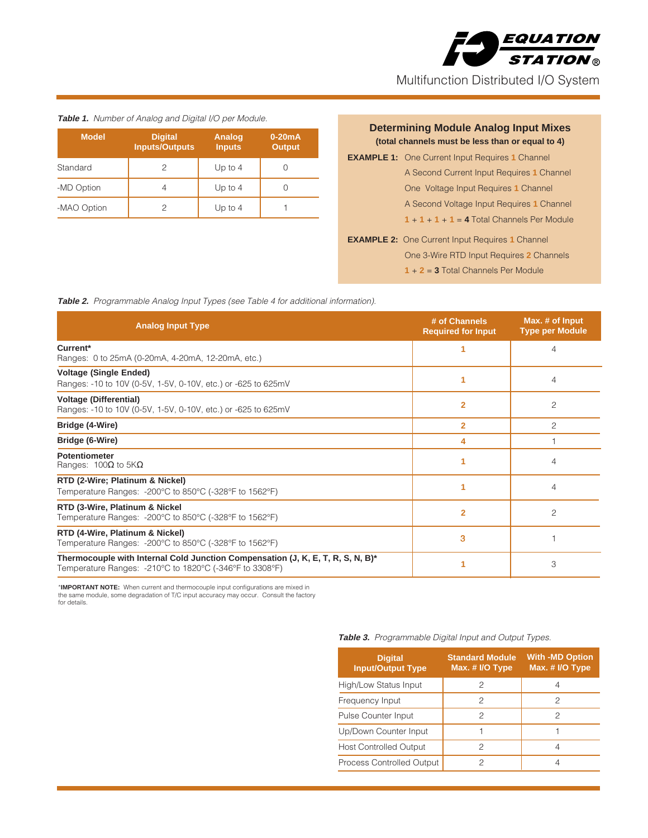

**Table 1.** Number of Analog and Digital I/O per Module.

| <b>Model</b> | <b>Digital</b><br><b>Inputs/Outputs</b> | <b>Analog</b><br><b>Inputs</b> | $0-20mA$<br><b>Output</b> |
|--------------|-----------------------------------------|--------------------------------|---------------------------|
| Standard     | 2                                       | Up to $4$                      |                           |
| -MD Option   | 4                                       | Up to $4$                      |                           |
| -MAO Option  | 2                                       | Up to $4$                      |                           |

#### **Determining Module Analog Input Mixes (total channels must be less than or equal to 4)**

- **EXAMPLE 1:** One Current Input Requires **1** Channel A Second Current Input Requires **1** Channel One Voltage Input Requires **1** Channel A Second Voltage Input Requires **1** Channel  $1 + 1 + 1 + 1 = 4$  Total Channels Per Module
- **EXAMPLE 2:** One Current Input Requires **1** Channel One 3-Wire RTD Input Requires **2** Channels **1** + **2** = **3** Total Channels Per Module

Table 2. Programmable Analog Input Types (see Table 4 for additional information).

| <b>Analog Input Type</b>                                                                                                                   | # of Channels<br><b>Required for Input</b> | Max. # of Input<br><b>Type per Module</b> |
|--------------------------------------------------------------------------------------------------------------------------------------------|--------------------------------------------|-------------------------------------------|
| Current*<br>Ranges: 0 to 25mA (0-20mA, 4-20mA, 12-20mA, etc.)                                                                              | 1                                          | $\overline{4}$                            |
| <b>Voltage (Single Ended)</b><br>Ranges: -10 to 10V (0-5V, 1-5V, 0-10V, etc.) or -625 to 625mV                                             |                                            | 4                                         |
| <b>Voltage (Differential)</b><br>Ranges: -10 to 10V (0-5V, 1-5V, 0-10V, etc.) or -625 to 625mV                                             | $\overline{2}$                             | $\mathfrak{p}$                            |
| Bridge (4-Wire)                                                                                                                            | $\overline{2}$                             | 2                                         |
| Bridge (6-Wire)                                                                                                                            | 4                                          |                                           |
| <b>Potentiometer</b><br>Ranges: $100\Omega$ to $5K\Omega$                                                                                  |                                            | 4                                         |
| RTD (2-Wire; Platinum & Nickel)<br>Temperature Ranges: -200°C to 850°C (-328°F to 1562°F)                                                  |                                            | 4                                         |
| RTD (3-Wire, Platinum & Nickel<br>Temperature Ranges: -200°C to 850°C (-328°F to 1562°F)                                                   | $\overline{2}$                             | $\overline{c}$                            |
| RTD (4-Wire, Platinum & Nickel)<br>Temperature Ranges: -200°C to 850°C (-328°F to 1562°F)                                                  | 3                                          |                                           |
| Thermocouple with Internal Cold Junction Compensation (J, K, E, T, R, S, N, B)*<br>Temperature Ranges: -210°C to 1820°C (-346°F to 3308°F) |                                            | 3                                         |

\***IMPORTANT NOTE:** When current and thermocouple input configurations are mixed in the same module, some degradation of T/C input accuracy may occur. Consult the factory for details.

| <b>Digital</b><br><b>Input/Output Type</b> | <b>Standard Module</b><br>Max. # I/O Type | <b>With -MD Option</b><br>Max. # I/O Type |
|--------------------------------------------|-------------------------------------------|-------------------------------------------|
| High/Low Status Input                      | 2                                         | 4                                         |
| Frequency Input                            | 2                                         | 2                                         |
| Pulse Counter Input                        | 2                                         | 2                                         |
| Up/Down Counter Input                      |                                           |                                           |
| <b>Host Controlled Output</b>              | 2                                         | 4                                         |
| Process Controlled Output                  | 2                                         | 4                                         |

#### **Table 3.** Programmable Digital Input and Output Types.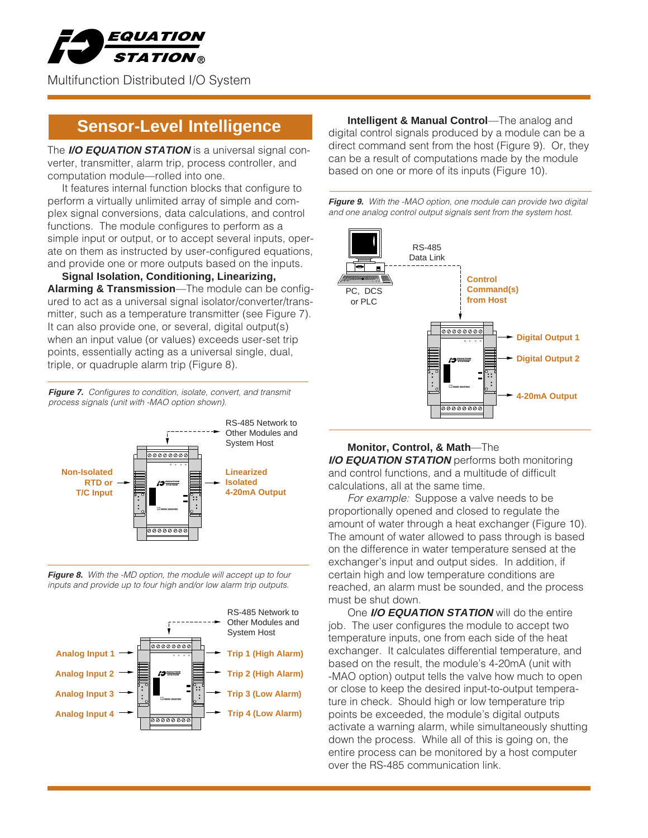

The **I/O EQUATION STATION** is a universal signal converter, transmitter, alarm trip, process controller, and computation module—rolled into one.

It features internal function blocks that configure to perform a virtually unlimited array of simple and complex signal conversions, data calculations, and control functions. The module configures to perform as a simple input or output, or to accept several inputs, operate on them as instructed by user-configured equations, and provide one or more outputs based on the inputs.

**Signal Isolation, Conditioning, Linearizing, Alarming & Transmission**—The module can be configured to act as a universal signal isolator/converter/transmitter, such as a temperature transmitter (see Figure 7). It can also provide one, or several, digital output(s) when an input value (or values) exceeds user-set trip points, essentially acting as a universal single, dual, triple, or quadruple alarm trip (Figure 8).

Figure 7. Configures to condition, isolate, convert, and transmit process signals (unit with -MAO option shown).



**Figure 8.** With the -MD option, the module will accept up to four inputs and provide up to four high and/or low alarm trip outputs.



**Sensor-Level Intelligence Intelligent & Manual Control**—The analog and digital control signals produced by a module can be a direct command sent from the host (Figure 9). Or, they can be a result of computations made by the module based on one or more of its inputs (Figure 10).





**Monitor, Control, & Math**—The **I/O EQUATION STATION** performs both monitoring and control functions, and a multitude of difficult calculations, all at the same time.

For example: Suppose a valve needs to be proportionally opened and closed to regulate the amount of water through a heat exchanger (Figure 10). The amount of water allowed to pass through is based on the difference in water temperature sensed at the exchanger's input and output sides. In addition, if certain high and low temperature conditions are reached, an alarm must be sounded, and the process must be shut down.

One **I/O EQUATION STATION** will do the entire job. The user configures the module to accept two temperature inputs, one from each side of the heat exchanger. It calculates differential temperature, and based on the result, the module's 4-20mA (unit with -MAO option) output tells the valve how much to open or close to keep the desired input-to-output temperature in check. Should high or low temperature trip points be exceeded, the module's digital outputs activate a warning alarm, while simultaneously shutting down the process. While all of this is going on, the entire process can be monitored by a host computer over the RS-485 communication link.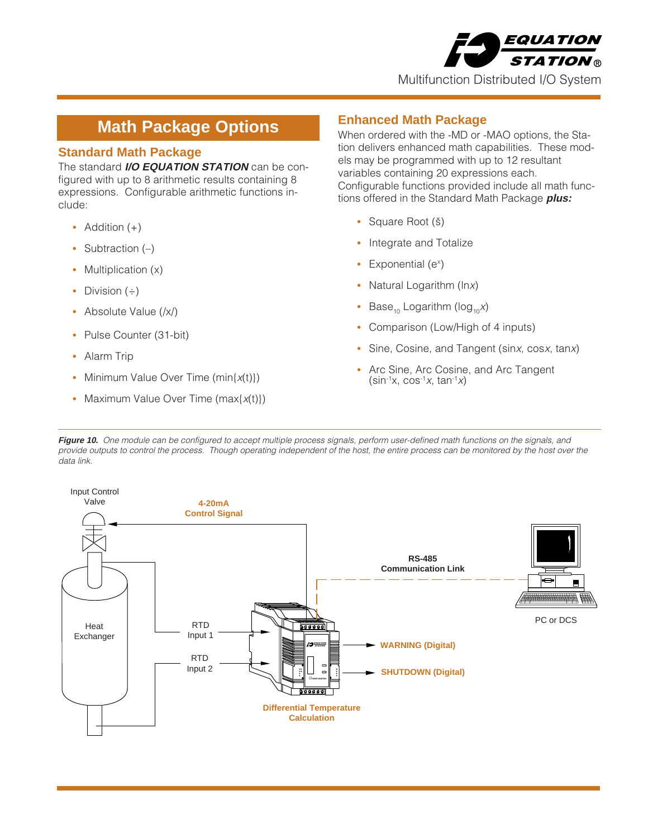

## **Math Package Options**

### **Standard Math Package**

The standard **I/O EQUATION STATION** can be configured with up to 8 arithmetic results containing 8 expressions. Configurable arithmetic functions include:

- **•** Addition (+)
- Subtraction (-)
- Multiplication (x)
- **•** Division (÷)
- **•** Absolute Value (/x/)
- **•** Pulse Counter (31-bit)
- **•** Alarm Trip
- Minimum Value Over Time (min{x(t)})
- Maximum Value Over Time (max{x(t)})

## **Enhanced Math Package**

When ordered with the -MD or -MAO options, the Station delivers enhanced math capabilities. These models may be programmed with up to 12 resultant variables containing 20 expressions each. Configurable functions provided include all math functions offered in the Standard Math Package **plus:**

- **•** Square Root (š)
- **•** Integrate and Totalize
- Exponential (e<sup>x</sup>)
- **•** Natural Logarithm (lnx)
- **Base<sub>10</sub>** Logarithm (log<sub>10</sub>x)
- **•** Comparison (Low/High of 4 inputs)
- **•** Sine, Cosine, and Tangent (sinx, cosx, tanx)
- **•** Arc Sine, Arc Cosine, and Arc Tangent  $(\sin^{-1}x, \cos^{-1}x, \tan^{-1}x)$

Figure 10. One module can be configured to accept multiple process signals, perform user-defined math functions on the signals, and provide outputs to control the process. Though operating independent of the host, the entire process can be monitored by the host over the data link.

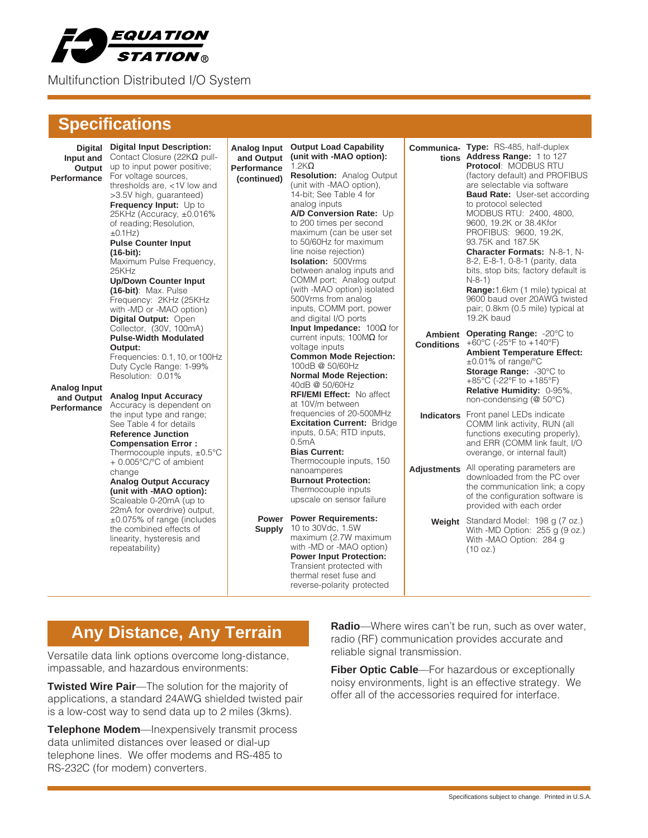

## **Specifications**

| Input and<br>Output<br>Performance               | <b>Digital Digital Input Description:</b><br>Contact Closure (22K $\Omega$ pull-<br>up to input power positive;<br>For voltage sources,<br>thresholds are, <1V low and<br>>3.5V high, guaranteed)<br>Frequency Input: Up to<br>25KHz (Accuracy, ±0.016%<br>of reading; Resolution,<br>±0.1Hz)<br><b>Pulse Counter Input</b><br>$(16-bit):$<br>Maximum Pulse Frequency,<br>25KHz<br><b>Up/Down Counter Input</b><br>(16-bit): Max. Pulse<br>Frequency: 2KHz (25KHz)<br>with -MD or -MAO option)<br>Digital Output: Open<br>Collector, (30V, 100mA)<br><b>Pulse-Width Modulated</b><br>Output:<br>Frequencies: 0.1, 10, or 100Hz<br>Duty Cycle Range: 1-99%<br>Resolution: 0.01% | Analog Input<br>and Output<br>Performance<br>(continued) | <b>Output Load Capability</b><br>(unit with -MAO option):<br>$1.2K\Omega$<br><b>Resolution: Analog Output</b><br>(unit with -MAO option),<br>14-bit; See Table 4 for<br>analog inputs<br>A/D Conversion Rate: Up<br>to 200 times per second<br>maximum (can be user set<br>to 50/60Hz for maximum<br>line noise rejection)<br><b>Isolation: 500Vrms</b><br>between analog inputs and<br>COMM port; Analog output<br>(with -MAO option) isolated<br>500Vrms from analog<br>inputs, COMM port, power<br>and digital I/O ports<br><b>Input Impedance:</b> $100\Omega$ for<br>current inputs; $100M\Omega$ for<br>voltage inputs<br><b>Common Mode Rejection:</b><br>100dB @ 50/60Hz<br><b>Normal Mode Rejection:</b><br>40dB @ 50/60Hz | <b>Conditions</b> | Communica- Type: RS-485, half-duplex<br>tions Address Range: 1 to 127<br><b>Protocol: MODBUS RTU</b><br>(factory default) and PROFIBUS<br>are selectable via software<br><b>Baud Rate:</b> User-set according<br>to protocol selected<br>MODBUS RTU: 2400, 4800,<br>9600, 19.2K or 38.4Kfor<br>PROFIBUS: 9600, 19.2K,<br>93.75K and 187.5K<br>Character Formats: N-8-1, N-<br>8-2, E-8-1, 0-8-1 (parity, data<br>bits, stop bits; factory default is<br>$N-8-1)$<br>Range: 1.6km (1 mile) typical at<br>9600 baud over 20AWG twisted<br>pair; 0.8km (0.5 mile) typical at<br>19.2K baud<br>Ambient Operating Range: - 20°C to<br>+60°C (-25°F to +140°F)<br><b>Ambient Temperature Effect:</b><br>$\pm 0.01\%$ of range/°C<br>Storage Range: -30°C to<br>+85°C (-22°F to +185°F) |
|--------------------------------------------------|--------------------------------------------------------------------------------------------------------------------------------------------------------------------------------------------------------------------------------------------------------------------------------------------------------------------------------------------------------------------------------------------------------------------------------------------------------------------------------------------------------------------------------------------------------------------------------------------------------------------------------------------------------------------------------|----------------------------------------------------------|-------------------------------------------------------------------------------------------------------------------------------------------------------------------------------------------------------------------------------------------------------------------------------------------------------------------------------------------------------------------------------------------------------------------------------------------------------------------------------------------------------------------------------------------------------------------------------------------------------------------------------------------------------------------------------------------------------------------------------------|-------------------|----------------------------------------------------------------------------------------------------------------------------------------------------------------------------------------------------------------------------------------------------------------------------------------------------------------------------------------------------------------------------------------------------------------------------------------------------------------------------------------------------------------------------------------------------------------------------------------------------------------------------------------------------------------------------------------------------------------------------------------------------------------------------------|
| Analog Input<br>and Output<br><b>Performance</b> | <b>Analog Input Accuracy</b><br>Accuracy is dependent on<br>the input type and range;<br>See Table 4 for details<br><b>Reference Junction</b><br><b>Compensation Error:</b><br>Thermocouple inputs, $\pm 0.5^{\circ}$ C<br>+ 0.005°C/°C of ambient<br>change<br><b>Analog Output Accuracy</b><br>(unit with -MAO option):<br>Scaleable 0-20mA (up to                                                                                                                                                                                                                                                                                                                           |                                                          | <b>RFI/EMI Effect:</b> No affect<br>at 10V/m between<br>frequencies of 20-500MHz<br><b>Excitation Current: Bridge</b><br>inputs, 0.5A; RTD inputs,<br>0.5 <sub>m</sub> A<br><b>Bias Current:</b><br>Thermocouple inputs, 150<br>nanoamperes<br><b>Burnout Protection:</b><br>Thermocouple inputs<br>upscale on sensor failure                                                                                                                                                                                                                                                                                                                                                                                                       |                   | Relative Humidity: 0-95%.<br>non-condensing (@ 50°C)<br><b>Indicators</b> Front panel LEDs indicate<br>COMM link activity, RUN (all<br>functions executing properly),<br>and ERR (COMM link fault, I/O<br>overange, or internal fault)<br>Adjustments All operating parameters are<br>downloaded from the PC over<br>the communication link; a copy<br>of the configuration software is<br>provided with each order                                                                                                                                                                                                                                                                                                                                                              |
|                                                  | 22mA for overdrive) output,<br>$\pm 0.075\%$ of range (includes<br>the combined effects of<br>linearity, hysteresis and<br>repeatability)                                                                                                                                                                                                                                                                                                                                                                                                                                                                                                                                      | <b>Supply</b>                                            | <b>Power</b> Power Requirements:<br>10 to 30Vdc, 1.5W<br>maximum (2.7W maximum<br>with -MD or -MAO option)<br><b>Power Input Protection:</b><br>Transient protected with<br>thermal reset fuse and<br>reverse-polarity protected                                                                                                                                                                                                                                                                                                                                                                                                                                                                                                    | Weight            | Standard Model: 198 g (7 oz.)<br>With -MD Option: $255 g (9 oz.)$<br>With -MAO Option: 284 g<br>(10 oz.)                                                                                                                                                                                                                                                                                                                                                                                                                                                                                                                                                                                                                                                                         |

## **Any Distance, Any Terrain**

Versatile data link options overcome long-distance, impassable, and hazardous environments:

**Twisted Wire Pair**—The solution for the majority of applications, a standard 24AWG shielded twisted pair is a low-cost way to send data up to 2 miles (3kms).

**Telephone Modem**—Inexpensively transmit process data unlimited distances over leased or dial-up telephone lines. We offer modems and RS-485 to RS-232C (for modem) converters.

**Radio**—Where wires can't be run, such as over water, radio (RF) communication provides accurate and reliable signal transmission.

**Fiber Optic Cable**—For hazardous or exceptionally noisy environments, light is an effective strategy. We offer all of the accessories required for interface.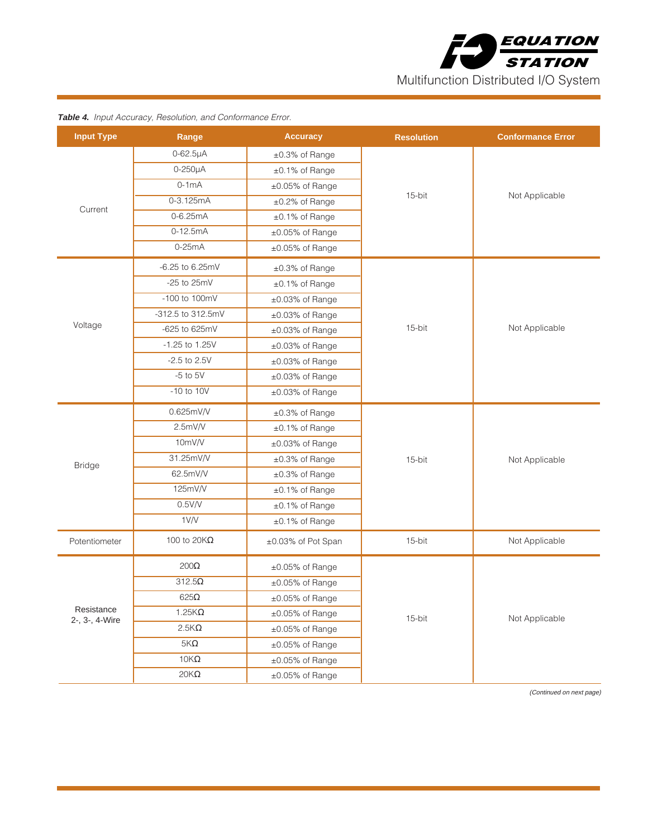

| <b>Input Type</b> | Range                | <b>Accuracy</b>    | <b>Resolution</b> | <b>Conformance Error</b> |  |
|-------------------|----------------------|--------------------|-------------------|--------------------------|--|
|                   | $0 - 62.5\mu A$      | ±0.3% of Range     |                   |                          |  |
|                   | $0-250\mu A$         | ±0.1% of Range     |                   |                          |  |
|                   | $0-1mA$              | ±0.05% of Range    |                   |                          |  |
| Current           | $0 - 3.125mA$        | ±0.2% of Range     | 15-bit            | Not Applicable           |  |
|                   | $0 - 6.25mA$         | ±0.1% of Range     |                   |                          |  |
|                   | $0-12.5mA$           | ±0.05% of Range    |                   |                          |  |
|                   | $0-25mA$             | ±0.05% of Range    |                   |                          |  |
|                   | $-6.25$ to $6.25mV$  | ±0.3% of Range     |                   |                          |  |
|                   | -25 to $25mV$        | ±0.1% of Range     |                   |                          |  |
|                   | -100 to 100mV        | ±0.03% of Range    |                   |                          |  |
|                   | -312.5 to 312.5mV    | ±0.03% of Range    |                   |                          |  |
| Voltage           | -625 to 625mV        | ±0.03% of Range    | 15-bit            | Not Applicable           |  |
|                   | $-1.25$ to 1.25V     | ±0.03% of Range    |                   |                          |  |
|                   | $-2.5$ to $2.5V$     | ±0.03% of Range    |                   |                          |  |
|                   | $-5$ to $5V$         | ±0.03% of Range    |                   |                          |  |
|                   | $-10$ to $10V$       | ±0.03% of Range    |                   |                          |  |
|                   | 0.625mV/V            | ±0.3% of Range     |                   | Not Applicable           |  |
|                   | 2.5mV/V              | ±0.1% of Range     |                   |                          |  |
|                   | 10mV/V               | ±0.03% of Range    |                   |                          |  |
|                   | 31.25mV/V            | ±0.3% of Range     | 15-bit            |                          |  |
| <b>Bridge</b>     | 62.5mV/V             | ±0.3% of Range     |                   |                          |  |
|                   | 125mV/V              | ±0.1% of Range     |                   |                          |  |
|                   | 0.5V/V               | ±0.1% of Range     |                   |                          |  |
|                   | 1 V/V                | ±0.1% of Range     |                   |                          |  |
| Potentiometer     | 100 to 20 $K\Omega$  | ±0.03% of Pot Span | 15-bit            | Not Applicable           |  |
|                   | $200\Omega$          | ±0.05% of Range    |                   |                          |  |
| Resistance        | $312.5\Omega$        | ±0.05% of Range    |                   | Not Applicable           |  |
|                   | 625 $\Omega$         | ±0.05% of Range    |                   |                          |  |
|                   | $1.25K\Omega$        | ±0.05% of Range    | 15-bit            |                          |  |
| 2-, 3-, 4-Wire    | $2.5K\Omega$         | ±0.05% of Range    |                   |                          |  |
|                   | $5\mathsf{K}\Omega$  | ±0.05% of Range    |                   |                          |  |
|                   | $10K\Omega$          | ±0.05% of Range    |                   |                          |  |
|                   | $20\mathsf{K}\Omega$ | ±0.05% of Range    |                   |                          |  |

**Table 4.** Input Accuracy, Resolution, and Conformance Error.

(Continued on next page)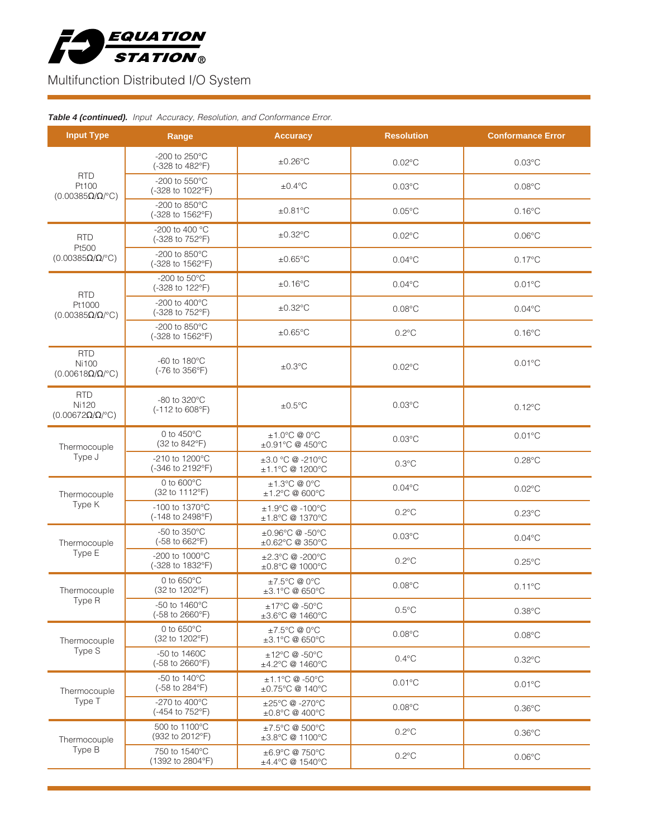

#### **Table 4 (continued).** Input Accuracy, Resolution, and Conformance Error.

| <b>Input Type</b>                                                     | Range                                       | <b>Accuracy</b>                                      | <b>Resolution</b> | <b>Conformance Error</b> |  |
|-----------------------------------------------------------------------|---------------------------------------------|------------------------------------------------------|-------------------|--------------------------|--|
|                                                                       | -200 to 250°C<br>(-328 to 482°F)            | $±0.26^{\circ}$ C                                    | $0.02^{\circ}$ C  | $0.03$ °C                |  |
| <b>RTD</b><br>Pt100<br>$(0.00385\Omega/\Omega$ <sup>o</sup> C)        | -200 to 550°C<br>(-328 to 1022°F)           | $±0.4$ °C                                            | $0.03$ °C         | $0.08^{\circ}$ C         |  |
|                                                                       | -200 to $850^{\circ}$ C<br>(-328 to 1562°F) | $\pm 0.81^{\circ}$ C                                 | $0.05^{\circ}$ C  | $0.16^{\circ}$ C         |  |
| <b>RTD</b>                                                            | -200 to 400 °C<br>(-328 to 752°F)           | $\pm 0.32$ °C                                        | $0.02$ °C         | $0.06^{\circ}$ C         |  |
| Pt500<br>$(0.00385\Omega/\Omega$ <sup>o</sup> C)                      | -200 to 850°C<br>(-328 to 1562°F)           | $\pm 0.65$ °C                                        | $0.04$ °C         | $0.17^{\circ}$ C         |  |
| <b>RTD</b>                                                            | -200 to $50^{\circ}$ C<br>(-328 to 122°F)   | ±0.16°C                                              | $0.04$ °C         | $0.01^{\circ}$ C         |  |
| Pt1000<br>$(0.00385\Omega/\Omega$ <sup>o</sup> C)                     | -200 to 400°C<br>(-328 to 752°F)            | $\pm 0.32$ °C                                        | $0.08$ °C         | $0.04$ °C                |  |
|                                                                       | -200 to 850°C<br>(-328 to 1562°F)           | $\pm 0.65$ °C                                        | $0.2^{\circ}$ C   | $0.16^{\circ}$ C         |  |
| <b>RTD</b><br><b>Ni100</b><br>$(0.00618\Omega/\Omega$ <sup>o</sup> C) | -60 to $180^{\circ}$ C<br>(-76 to 356°F)    | $±0.3$ °C                                            | $0.02^{\circ}$ C  | $0.01^{\circ}$ C         |  |
| <b>RTD</b><br><b>Ni120</b><br>$(0.00672\Omega/\Omega$ <sup>o</sup> C) | -80 to 320°C<br>(-112 to 608°F)             | $±0.5$ °C                                            | $0.03$ °C         | $0.12^{\circ}$ C         |  |
| Thermocouple                                                          | 0 to $450^{\circ}$ C<br>(32 to 842°F)       | $±1.0^{\circ}$ C @ 0 $^{\circ}$ C<br>±0.91°C @ 450°C | $0.03$ °C         | $0.01^{\circ}$ C         |  |
| Type J                                                                | -210 to 1200°C<br>(-346 to 2192°F)          | ±3.0 °C @ -210°C<br>±1.1°C @ 1200°C                  | $0.3^{\circ}$ C   | $0.28^{\circ}$ C         |  |
| Thermocouple                                                          | 0 to $600^{\circ}$ C<br>(32 to 1112°F)      | ±1.3°C @ 0°C<br>±1.2°C @ 600°C                       | $0.04$ °C         | $0.02^{\circ}$ C         |  |
| Type K                                                                | -100 to 1370°C<br>(-148 to 2498°F)          | ±1.9°C @ -100°C<br>±1.8°C @ 1370°C                   | $0.2^{\circ}$ C   | $0.23^{\circ}$ C         |  |
| Thermocouple                                                          | -50 to 350°C<br>(-58 to 662°F)              | ±0.96°C @-50°C<br>±0.62°C @ 350°C                    | $0.03$ °C         | $0.04$ °C                |  |
| Type E                                                                | -200 to 1000°C<br>(-328 to 1832°F)          | ±2.3°C @ -200°C<br>±0.8°C @ 1000°C                   | $0.2^{\circ}$ C   | $0.25^{\circ}$ C         |  |
| Thermocouple                                                          | 0 to 650°C<br>(32 to 1202°F)                | ±7.5°C @ 0°C<br>±3.1°C @ 650°C                       | $0.08$ °C         | $0.11^{\circ}$ C         |  |
| Type R                                                                | -50 to 1460°C<br>(-58 to 2660°F)            | ±17°C @ -50°C<br>±3.6°C @ 1460°C                     | $0.5^{\circ}$ C   | $0.38^{\circ}$ C         |  |
| Thermocouple                                                          | 0 to 650°C<br>(32 to 1202°F)                | ±7.5°C @ 0°C<br>±3.1°C @ 650°C                       | $0.08$ °C         | $0.08$ °C                |  |
| Type S                                                                | -50 to 1460C<br>(-58 to 2660°F)             | ±12°C @ -50°C<br>±4.2°C @ 1460°C                     | $0.4^{\circ}$ C   | $0.32^{\circ}$ C         |  |
| Thermocouple                                                          | -50 to 140°C<br>(-58 to 284°F)              | ±1.1°C @ -50°C<br>±0.75°C @ 140°C                    | $0.01^{\circ}$ C  | $0.01^{\circ}$ C         |  |
| Type T                                                                | -270 to 400°C<br>(-454 to 752°F)            | ±25°C @ -270°C<br>±0.8°C @ 400°C                     | $0.08$ °C         | $0.36^{\circ}$ C         |  |
| Thermocouple                                                          | 500 to 1100°C<br>(932 to 2012°F)            | ±7.5°C @ 500°C<br>±3.8°C @ 1100°C                    | $0.2^{\circ}$ C   | $0.36^{\circ}$ C         |  |
| Type B                                                                | 750 to 1540°C<br>(1392 to 2804°F)           | ±6.9°C @ 750°C<br>±4.4°C @ 1540°C                    | $0.2^{\circ}$ C   | $0.06^{\circ}$ C         |  |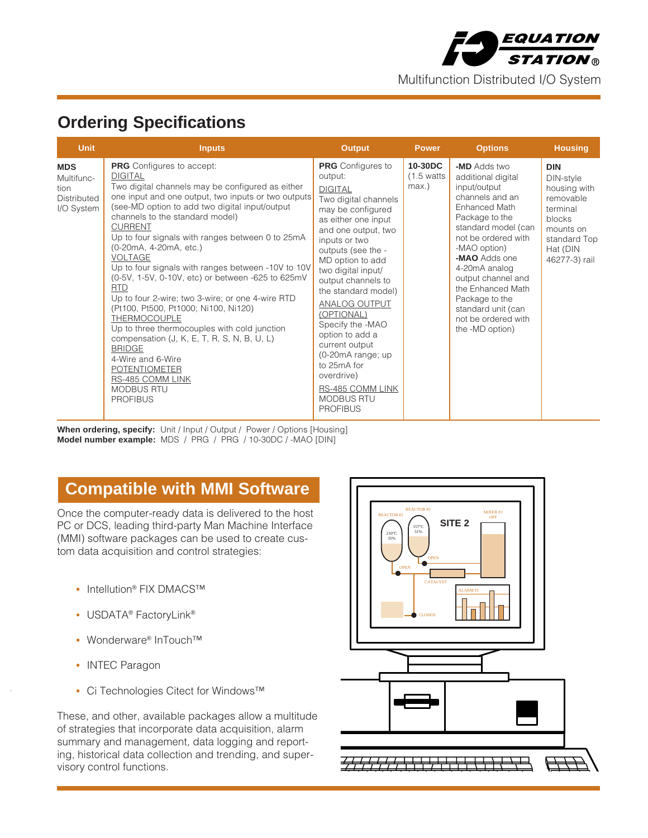

# **Ordering Specifications**

| <b>Unit</b>                                                          | <b>Inputs</b>                                                                                                                                                                                                                                                                                                                                                                                                                                                                                                                                                                                                                                                                                                                                                                                                                        | <b>Output</b>                                                                                                                                                                                                                                                                                                                                                                                                                                                                        | <b>Power</b>                                 | <b>Options</b>                                                                                                                                                                                                                                                                                                                        | <b>Housing</b>                                                                                                                       |
|----------------------------------------------------------------------|--------------------------------------------------------------------------------------------------------------------------------------------------------------------------------------------------------------------------------------------------------------------------------------------------------------------------------------------------------------------------------------------------------------------------------------------------------------------------------------------------------------------------------------------------------------------------------------------------------------------------------------------------------------------------------------------------------------------------------------------------------------------------------------------------------------------------------------|--------------------------------------------------------------------------------------------------------------------------------------------------------------------------------------------------------------------------------------------------------------------------------------------------------------------------------------------------------------------------------------------------------------------------------------------------------------------------------------|----------------------------------------------|---------------------------------------------------------------------------------------------------------------------------------------------------------------------------------------------------------------------------------------------------------------------------------------------------------------------------------------|--------------------------------------------------------------------------------------------------------------------------------------|
| <b>MDS</b><br>Multifunc-<br>tion<br><b>Distributed</b><br>I/O System | <b>PRG</b> Configures to accept:<br><b>DIGITAL</b><br>Two digital channels may be configured as either<br>one input and one output, two inputs or two outputs<br>(see-MD option to add two digital input/output<br>channels to the standard model)<br><b>CURRENT</b><br>Up to four signals with ranges between 0 to 25mA<br>(0-20mA, 4-20mA, etc.)<br><b>VOLTAGE</b><br>Up to four signals with ranges between -10V to 10V<br>(0-5V, 1-5V, 0-10V, etc) or between -625 to 625mV<br><b>RTD</b><br>Up to four 2-wire; two 3-wire; or one 4-wire RTD<br>(Pt100, Pt500, Pt1000; Ni100, Ni120)<br>THERMOCOUPLE<br>Up to three thermocouples with cold junction<br>compensation $(J, K, E, T, R, S, N, B, U, L)$<br><b>BRIDGE</b><br>4-Wire and 6-Wire<br><b>POTENTIOMETER</b><br>RS-485 COMM LINK<br><b>MODBUS RTU</b><br><b>PROFIBUS</b> | <b>PRG</b> Configures to<br>output:<br><b>DIGITAL</b><br>Two digital channels<br>may be configured<br>as either one input<br>and one output, two<br>inputs or two<br>outputs (see the -<br>MD option to add<br>two digital input/<br>output channels to<br>the standard model)<br>ANALOG OUTPUT<br>(OPTIONAL)<br>Specify the -MAO<br>option to add a<br>current output<br>(0-20mA range; up<br>to 25mA for<br>overdrive)<br>RS-485 COMM LINK<br><b>MODBUS RTU</b><br><b>PROFIBUS</b> | 10-30DC<br>$(1.5 \text{ watts})$<br>$max.$ ) | -MD Adds two<br>additional digital<br>input/output<br>channels and an<br>Enhanced Math<br>Package to the<br>standard model (can<br>not be ordered with<br>-MAO option)<br>-MAO Adds one<br>4-20mA analog<br>output channel and<br>the Enhanced Math<br>Package to the<br>standard unit (can<br>not be ordered with<br>the -MD option) | <b>DIN</b><br>DIN-style<br>housing with<br>removable<br>terminal<br>blocks<br>mounts on<br>standard Top<br>Hat (DIN<br>46277-3) rail |

When ordering, specify: Unit / Input / Output / Power / Options [Housing] **Model number example:** MDS / PRG / PRG / 10-30DC / -MAO [DIN]

## **Compatible with MMI Software**

Once the computer-ready data is delivered to the host PC or DCS, leading third-party Man Machine Interface (MMI) software packages can be used to create custom data acquisition and control strategies:

- **•** Intellution® FIX DMACS™
- USDATA<sup>®</sup> FactoryLink<sup>®</sup>
- **•** Wonderware® InTouch™
- **•** INTEC Paragon
- **•** Ci Technologies Citect for Windows™

These, and other, available packages allow a multitude of strategies that incorporate data acquisition, alarm summary and management, data logging and reporting, historical data collection and trending, and supervisory control functions.